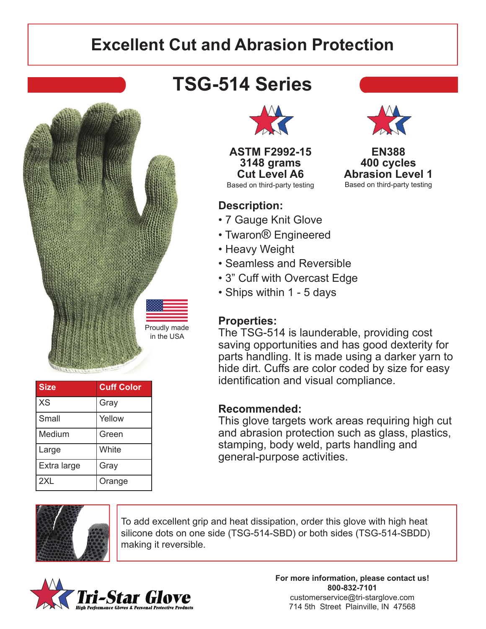## **Excellent Cut and Abrasion Protection**



| <b>Size</b> | <b>Cuff Color</b> |
|-------------|-------------------|
| XS          | Gray              |
| Small       | Yellow            |
| Medium      | Green             |
| Large       | White             |
| Extra large | Gray              |
| 2XL         | Orange            |

## **TSG-514 Series**



**ASTM F2992-15 3148 grams Cut Level A6** Based on third-party testing

### **Description:**

- 7 Gauge Knit Glove
- Twaron® Engineered
- Heavy Weight
- Seamless and Reversible
- 3" Cuff with Overcast Edge
- Ships within 1 5 days

#### **Properties:**

The TSG-514 is launderable, providing cost saving opportunities and has good dexterity for parts handling. It is made using a darker yarn to hide dirt. Cuffs are color coded by size for easy identification and visual compliance.

#### **Recommended:**

This glove targets work areas requiring high cut and abrasion protection such as glass, plastics, stamping, body weld, parts handling and general-purpose activities.



To add excellent grip and heat dissipation, order this glove with high heat silicone dots on one side (TSG-514-SBD) or both sides (TSG-514-SBDD) making it reversible.



**For more information, please contact us! 800-832-7101** customerservice@tri-starglove.com 714 5th Street Plainville, IN 47568



**EN388 400 cycles Abrasion Level 1** Based on third-party testing